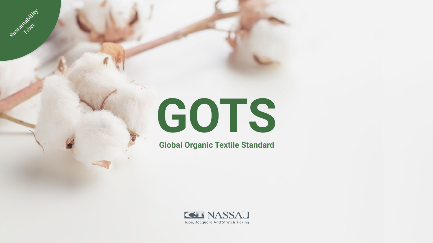# **GOTS**

Sustainability

**Fiber** 

**Global Organic Textile Standard**



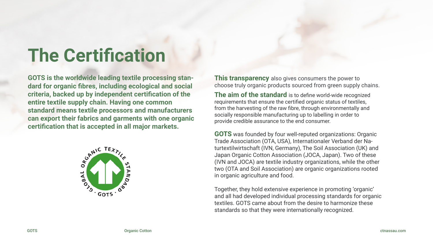**GOTS is the worldwide leading textile processing standard for organic fibres, including ecological and social criteria, backed up by independent certification of the entire textile supply chain. Having one common standard means textile processors and manufacturers can export their fabrics and garments with one organic certification that is accepted in all major markets.** 



# **The Certification**

**GOTS** was founded by four well-reputed organizations: Organic Trade Association (OTA, USA), Internationaler Verband der Naturtextilwirtschaft (IVN, Germany), The Soil Association (UK) and Japan Organic Cotton Association (JOCA, Japan). Two of these (IVN and JOCA) are textile industry organizations, while the other two (OTA and Soil Association) are organic organizations rooted in organic agriculture and food.



Together, they hold extensive experience in promoting 'organic' and all had developed individual processing standards for organic textiles. GOTS came about from the desire to harmonize these standards so that they were internationally recognized.

**This transparency** also gives consumers the power to choose truly organic products sourced from green supply chains.

**The aim of the standard** is to define world-wide recognized requirements that ensure the certified organic status of textiles, from the harvesting of the raw fibre, through environmentally and socially responsible manufacturing up to labelling in order to provide credible assurance to the end consumer.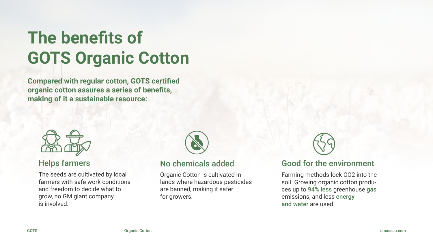**Compared with regular cotton, GOTS certified organic cotton assures a series of benefits, making of it a sustainable resource:**



### Good for the environment



Farming methods lock CO2 into the soil. Growing organic cotton produces up to 94% less greenhouse gas emissions, and less energy and water are used.

The seeds are cultivated by local farmers with safe work conditions and freedom to decide what to grow, no GM giant company is involved.



### Helps farmers No chemicals added

Organic Cotton is cultivated in lands where hazardous pesticides are banned, making it safer for growers.

# **The benefits of GOTS Organic Cotton**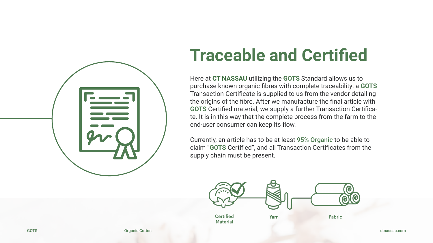

# **Traceable and Certified**

Here at **CT NASSAU** utilizing the **GOTS** Standard allows us to purchase known organic fibres with complete traceability: a **GOTS**  Transaction Certificate is supplied to us from the vendor detailing the origins of the fibre. After we manufacture the final article with **GOTS** Certified material, we supply a further Transaction Certificate. It is in this way that the complete process from the farm to the end-user consumer can keep its flow.

Currently, an article has to be at least 95% Organic to be able to claim "**GOTS** Certified", and all Transaction Certificates from the supply chain must be present.